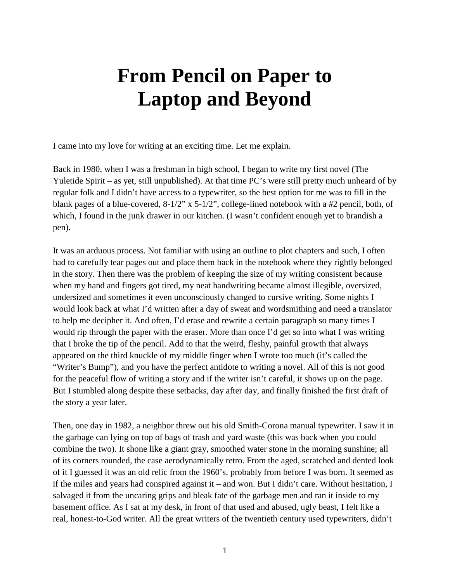## **From Pencil on Paper to Laptop and Beyond**

I came into my love for writing at an exciting time. Let me explain.

Back in 1980, when I was a freshman in high school, I began to write my first novel (The Yuletide Spirit – as yet, still unpublished). At that time PC's were still pretty much unheard of by regular folk and I didn't have access to a typewriter, so the best option for me was to fill in the blank pages of a blue-covered, 8-1/2" x 5-1/2", college-lined notebook with a #2 pencil, both, of which, I found in the junk drawer in our kitchen. (I wasn't confident enough yet to brandish a pen).

It was an arduous process. Not familiar with using an outline to plot chapters and such, I often had to carefully tear pages out and place them back in the notebook where they rightly belonged in the story. Then there was the problem of keeping the size of my writing consistent because when my hand and fingers got tired, my neat handwriting became almost illegible, oversized, undersized and sometimes it even unconsciously changed to cursive writing. Some nights I would look back at what I'd written after a day of sweat and wordsmithing and need a translator to help me decipher it. And often, I'd erase and rewrite a certain paragraph so many times I would rip through the paper with the eraser. More than once I'd get so into what I was writing that I broke the tip of the pencil. Add to that the weird, fleshy, painful growth that always appeared on the third knuckle of my middle finger when I wrote too much (it's called the "Writer's Bump"), and you have the perfect antidote to writing a novel. All of this is not good for the peaceful flow of writing a story and if the writer isn't careful, it shows up on the page. But I stumbled along despite these setbacks, day after day, and finally finished the first draft of the story a year later.

Then, one day in 1982, a neighbor threw out his old Smith-Corona manual typewriter. I saw it in the garbage can lying on top of bags of trash and yard waste (this was back when you could combine the two). It shone like a giant gray, smoothed water stone in the morning sunshine; all of its corners rounded, the case aerodynamically retro. From the aged, scratched and dented look of it I guessed it was an old relic from the 1960's, probably from before I was born. It seemed as if the miles and years had conspired against it – and won. But I didn't care. Without hesitation, I salvaged it from the uncaring grips and bleak fate of the garbage men and ran it inside to my basement office. As I sat at my desk, in front of that used and abused, ugly beast, I felt like a real, honest-to-God writer. All the great writers of the twentieth century used typewriters, didn't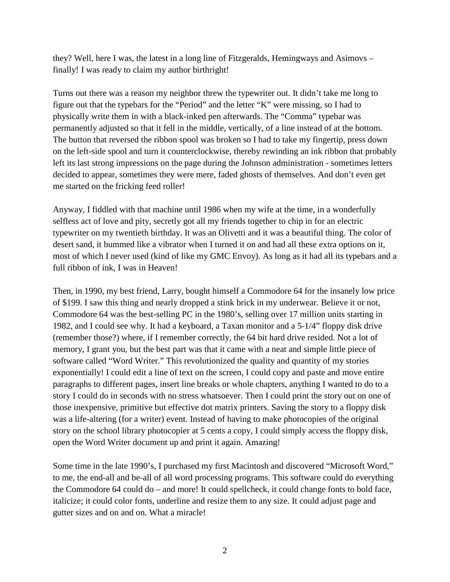they? Well, here I was, the latest in a long line of Fitzgeralds, Hemingways and Asimovs – finally! I was ready to claim my author birthright!

Turns out there was a reason my neighbor threw the typewriter out. It didn't take me long to figure out that the typebars for the "Period" and the letter "K" were missing, so I had to physically write them in with a black-inked pen afterwards. The "Comma" typebar was permanently adjusted so that it fell in the middle, vertically, of a line instead of at the bottom. The button that reversed the ribbon spool was broken so I had to take my fingertip, press down on the left-side spool and turn it counterclockwise, thereby rewinding an ink ribbon that probably left its last strong impressions on the page during the Johnson administration - sometimes letters decided to appear, sometimes they were mere, faded ghosts of themselves. And don't even get me started on the fricking feed roller!

Anyway, I fiddled with that machine until 1986 when my wife at the time, in a wonderfully selfless act of love and pity, secretly got all my friends together to chip in for an electric typewriter on my twentieth birthday. It was an Olivetti and it was a beautiful thing. The color of desert sand, it hummed like a vibrator when I turned it on and had all these extra options on it, most of which I never used (kind of like my GMC Envoy). As long as it had all its typebars and a full ribbon of ink, I was in Heaven!

Then, in 1990, my best friend, Larry, bought himself a Commodore 64 for the insanely low price of \$199. I saw this thing and nearly dropped a stink brick in my underwear. Believe it or not, Commodore 64 was the best-selling PC in the 1980's, selling over 17 million units starting in 1982, and I could see why. It had a keyboard, a Taxan monitor and a 5-1/4" floppy disk drive (remember those?) where, if I remember correctly, the 64 bit hard drive resided. Not a lot of memory, I grant you, but the best part was that it came with a neat and simple little piece of software called "Word Writer." This revolutionized the quality and quantity of my stories exponentially! I could edit a line of text on the screen, I could copy and paste and move entire paragraphs to different pages, insert line breaks or whole chapters, anything I wanted to do to a story I could do in seconds with no stress whatsoever. Then I could print the story out on one of those inexpensive, primitive but effective dot matrix printers. Saving the story to a floppy disk was a life-altering (for a writer) event. Instead of having to make photocopies of the original story on the school library photocopier at 5 cents a copy, I could simply access the floppy disk, open the Word Writer document up and print it again. Amazing!

Some time in the late 1990's, I purchased my first Macintosh and discovered "Microsoft Word," to me, the end-all and be-all of all word processing programs. This software could do everything the Commodore 64 could do – and more! It could spellcheck, it could change fonts to bold face, italicize; it could color fonts, underline and resize them to any size. It could adjust page and gutter sizes and on and on. What a miracle!